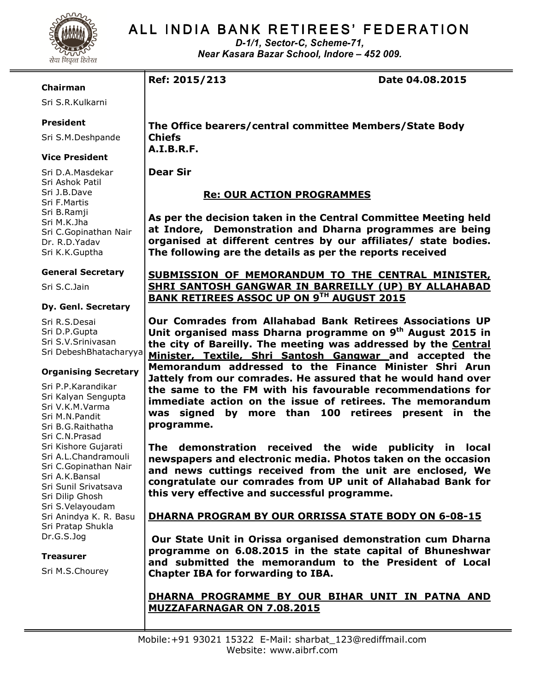

# ALL INDIA BANK RETIREES' FEDERATION

D-1/1, Sector-C, Scheme-71, Near Kasara Bazar School, Indore – 452 009.

### Chairman

Sri S.R.Kulkarni

## President

Sri S.M.Deshpande

## Vice President

Sri D.A.Masdekar Sri Ashok Patil Sri J.B.Dave Sri F.Martis Sri B.Ramji Sri M.K.Jha Sri C.Gopinathan Nair Dr. R.D.Yadav Sri K.K.Guptha

### General Secretary

Sri S.C.Jain

#### Dy. Genl. Secretary

Sri R.S.Desai Sri D.P.Gupta Sri S.V.Srinivasan Sri DebeshBhatacharyya

## Organising Secretary

Sri P.P.Karandikar Sri Kalyan Sengupta Sri V.K.M.Varma Sri M.N.Pandit Sri B.G.Raithatha Sri C.N.Prasad Sri Kishore Gujarati Sri A.L.Chandramouli Sri C.Gopinathan Nair Sri A.K.Bansal Sri Sunil Srivatsava Sri Dilip Ghosh Sri S.Velayoudam Sri Anindya K. R. Basu Sri Pratap Shukla Dr.G.S.Jog

## Treasurer

Sri M.S.Chourey

Ref: 2015/213 Date 04.08.2015

The Office bearers/central committee Members/State Body Chiefs A.I.B.R.F.

Dear Sir

# Re: OUR ACTION PROGRAMMES

As per the decision taken in the Central Committee Meeting held at Indore, Demonstration and Dharna programmes are being organised at different centres by our affiliates/ state bodies. The following are the details as per the reports received

## SUBMISSION OF MEMORANDUM TO THE CENTRAL MINISTER, SHRI SANTOSH GANGWAR IN BARREILLY (UP) BY ALLAHABAD BANK RETIREES ASSOC UP ON 9TH AUGUST 2015

Our Comrades from Allahabad Bank Retirees Associations UP Unit organised mass Dharna programme on 9<sup>th</sup> August 2015 in the city of Bareilly. The meeting was addressed by the Central Minister, Textile, Shri Santosh Gangwar and accepted the Memorandum addressed to the Finance Minister Shri Arun Jattely from our comrades. He assured that he would hand over the same to the FM with his favourable recommendations for immediate action on the issue of retirees. The memorandum was signed by more than 100 retirees present in the programme.

The demonstration received the wide publicity in local newspapers and electronic media. Photos taken on the occasion and news cuttings received from the unit are enclosed, We congratulate our comrades from UP unit of Allahabad Bank for this very effective and successful programme.

## DHARNA PROGRAM BY OUR ORRISSA STATE BODY ON 6-08-15

 Our State Unit in Orissa organised demonstration cum Dharna programme on 6.08.2015 in the state capital of Bhuneshwar and submitted the memorandum to the President of Local Chapter IBA for forwarding to IBA.

## DHARNA PROGRAMME BY OUR BIHAR UNIT IN PATNA AND MUZZAFARNAGAR ON 7.08.2015